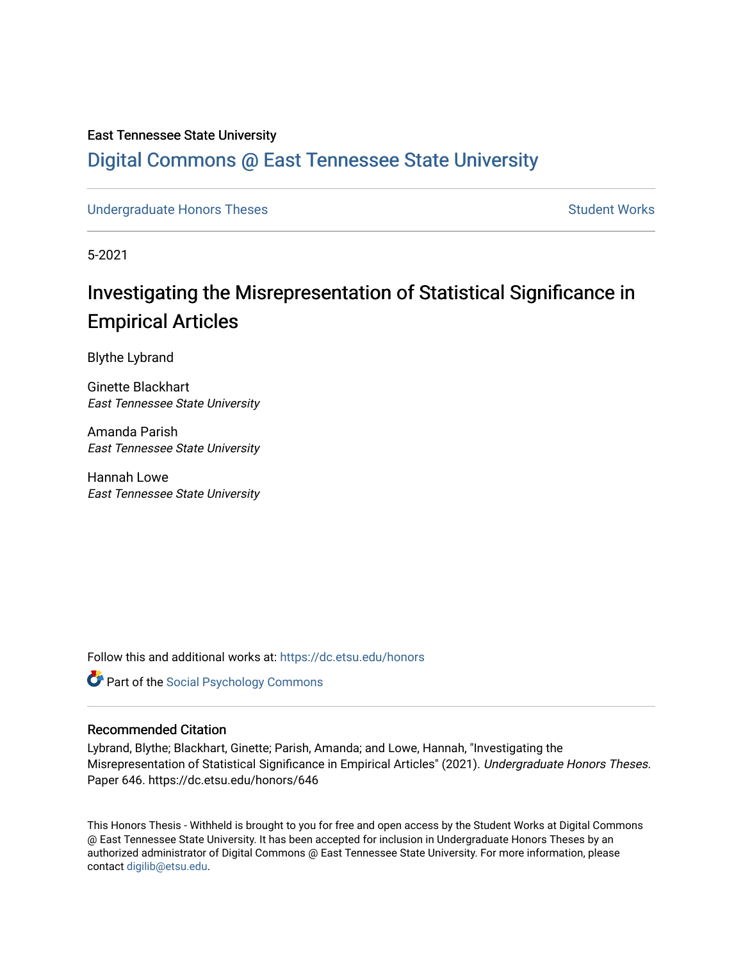# East Tennessee State University

# [Digital Commons @ East Tennessee State University](https://dc.etsu.edu/)

[Undergraduate Honors Theses](https://dc.etsu.edu/honors) [Student Works](https://dc.etsu.edu/student-works) Student Works

5-2021

# Investigating the Misrepresentation of Statistical Significance in Empirical Articles

Blythe Lybrand

Ginette Blackhart East Tennessee State University

Amanda Parish East Tennessee State University

Hannah Lowe East Tennessee State University

Follow this and additional works at: [https://dc.etsu.edu/honors](https://dc.etsu.edu/honors?utm_source=dc.etsu.edu%2Fhonors%2F646&utm_medium=PDF&utm_campaign=PDFCoverPages)

**Part of the Social Psychology Commons** 

#### Recommended Citation

Lybrand, Blythe; Blackhart, Ginette; Parish, Amanda; and Lowe, Hannah, "Investigating the Misrepresentation of Statistical Significance in Empirical Articles" (2021). Undergraduate Honors Theses. Paper 646. https://dc.etsu.edu/honors/646

This Honors Thesis - Withheld is brought to you for free and open access by the Student Works at Digital Commons @ East Tennessee State University. It has been accepted for inclusion in Undergraduate Honors Theses by an authorized administrator of Digital Commons @ East Tennessee State University. For more information, please contact [digilib@etsu.edu](mailto:digilib@etsu.edu).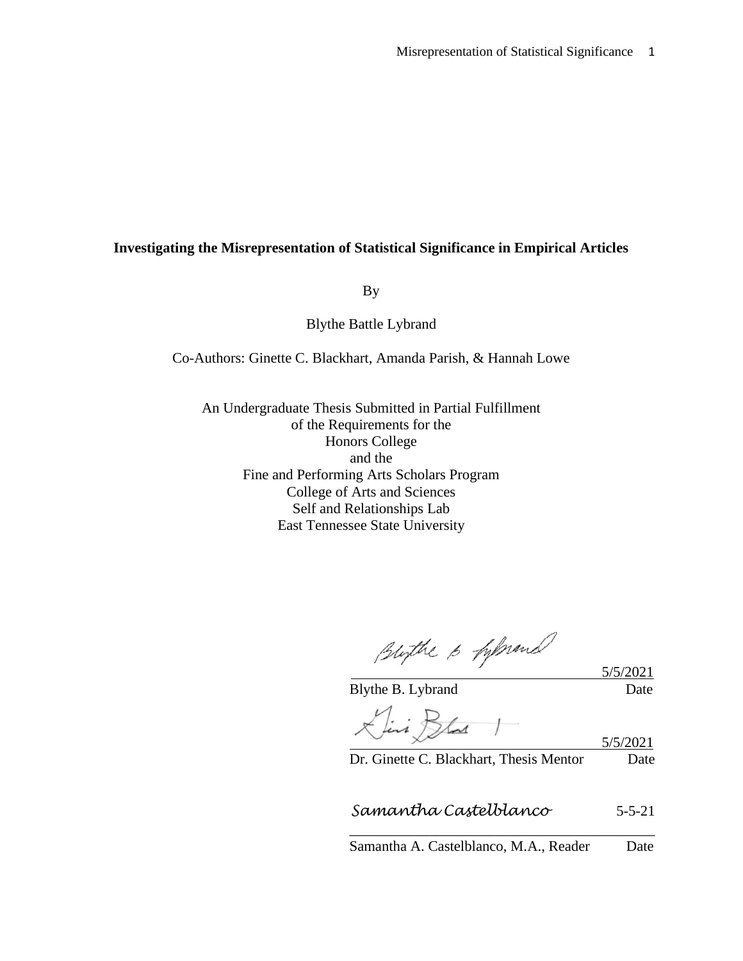# **Investigating the Misrepresentation of Statistical Significance in Empirical Articles**

By

Blythe Battle Lybrand

Co-Authors: Ginette C. Blackhart, Amanda Parish, & Hannah Lowe

An Undergraduate Thesis Submitted in Partial Fulfillment of the Requirements for the Honors College and the Fine and Performing Arts Scholars Program College of Arts and Sciences Self and Relationships Lab East Tennessee State University

Bligthe 6 fifthemal

Blythe B. Lybrand Date

5/5/2021

Livi Blad

Dr. Ginette C. Blackhart, Thesis Mentor Date

 *Samantha Castelblanco* 5-5-21

\_\_\_\_\_\_\_\_\_\_\_\_\_\_\_\_\_\_\_\_\_\_\_\_\_\_\_\_\_\_\_\_\_\_\_\_\_\_\_\_\_\_ Samantha A. Castelblanco, M.A., Reader Date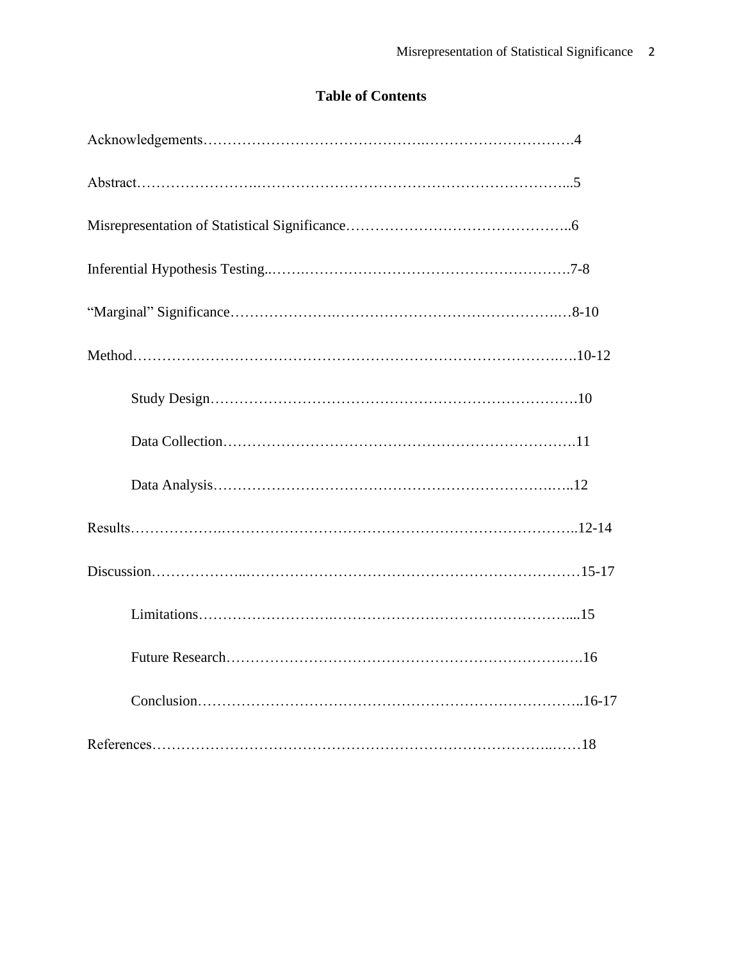# **Table of Contents**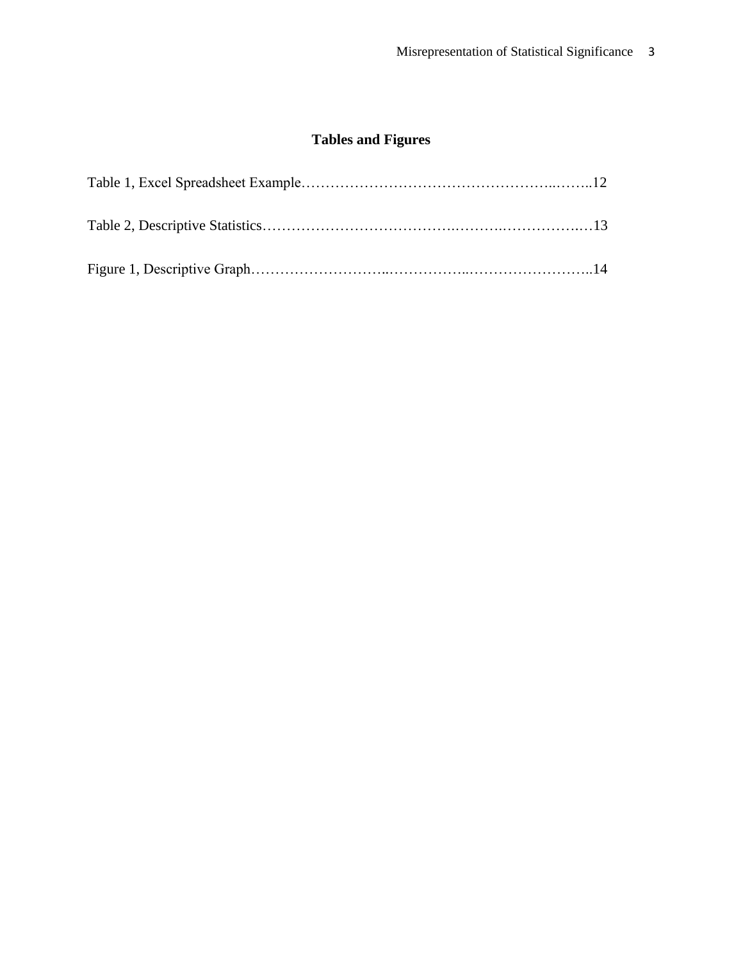# **Tables and Figures**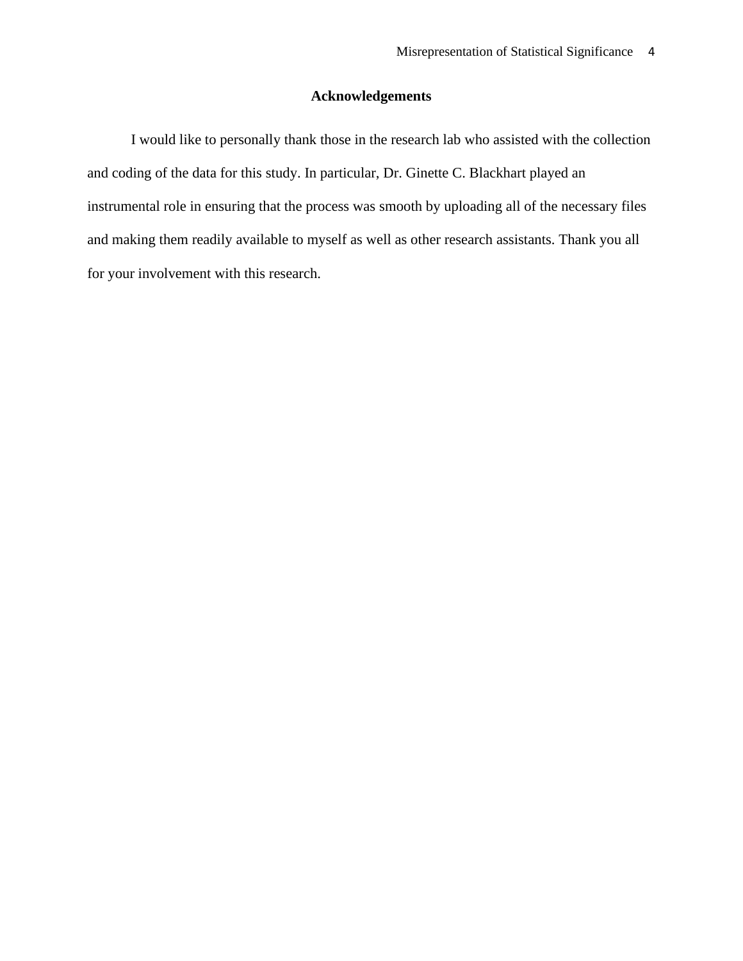# **Acknowledgements**

I would like to personally thank those in the research lab who assisted with the collection and coding of the data for this study. In particular, Dr. Ginette C. Blackhart played an instrumental role in ensuring that the process was smooth by uploading all of the necessary files and making them readily available to myself as well as other research assistants. Thank you all for your involvement with this research.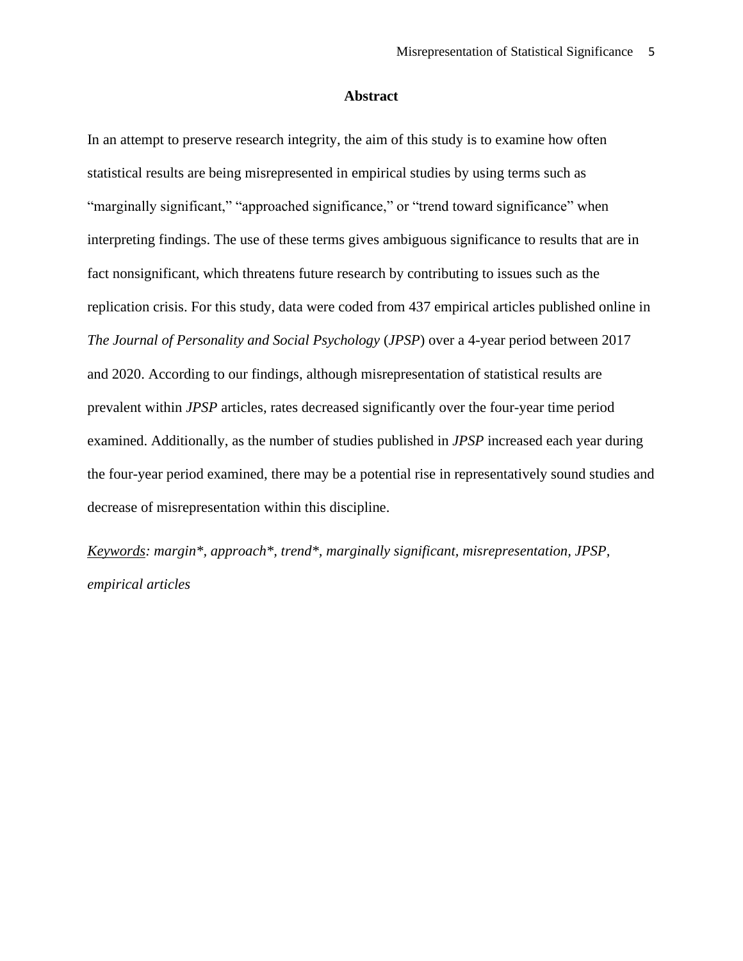### **Abstract**

In an attempt to preserve research integrity, the aim of this study is to examine how often statistical results are being misrepresented in empirical studies by using terms such as "marginally significant," "approached significance," or "trend toward significance" when interpreting findings. The use of these terms gives ambiguous significance to results that are in fact nonsignificant, which threatens future research by contributing to issues such as the replication crisis. For this study, data were coded from 437 empirical articles published online in *The Journal of Personality and Social Psychology* (*JPSP*) over a 4-year period between 2017 and 2020. According to our findings, although misrepresentation of statistical results are prevalent within *JPSP* articles, rates decreased significantly over the four-year time period examined. Additionally, as the number of studies published in *JPSP* increased each year during the four-year period examined, there may be a potential rise in representatively sound studies and decrease of misrepresentation within this discipline.

*Keywords: margin\*, approach\*, trend\*, marginally significant, misrepresentation, JPSP, empirical articles*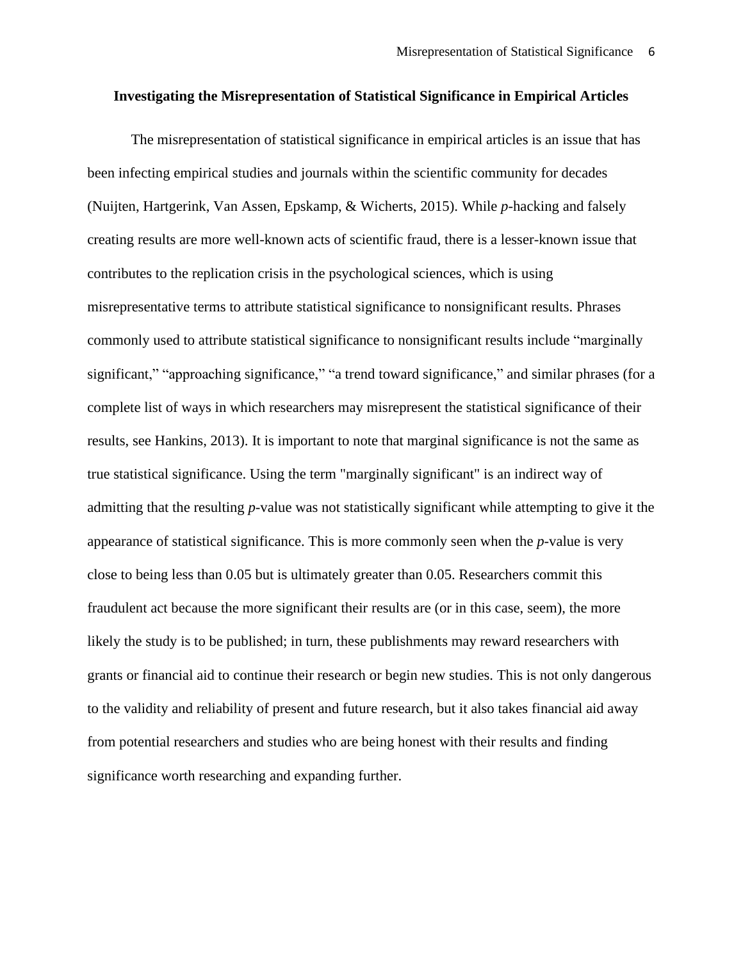#### **Investigating the Misrepresentation of Statistical Significance in Empirical Articles**

The misrepresentation of statistical significance in empirical articles is an issue that has been infecting empirical studies and journals within the scientific community for decades (Nuijten, Hartgerink, Van Assen, Epskamp, & Wicherts, 2015). While *p*-hacking and falsely creating results are more well-known acts of scientific fraud, there is a lesser-known issue that contributes to the replication crisis in the psychological sciences, which is using misrepresentative terms to attribute statistical significance to nonsignificant results. Phrases commonly used to attribute statistical significance to nonsignificant results include "marginally significant," "approaching significance," "a trend toward significance," and similar phrases (for a complete list of ways in which researchers may misrepresent the statistical significance of their results, see Hankins, 2013). It is important to note that marginal significance is not the same as true statistical significance. Using the term "marginally significant" is an indirect way of admitting that the resulting *p*-value was not statistically significant while attempting to give it the appearance of statistical significance. This is more commonly seen when the *p*-value is very close to being less than 0.05 but is ultimately greater than 0.05. Researchers commit this fraudulent act because the more significant their results are (or in this case, seem), the more likely the study is to be published; in turn, these publishments may reward researchers with grants or financial aid to continue their research or begin new studies. This is not only dangerous to the validity and reliability of present and future research, but it also takes financial aid away from potential researchers and studies who are being honest with their results and finding significance worth researching and expanding further.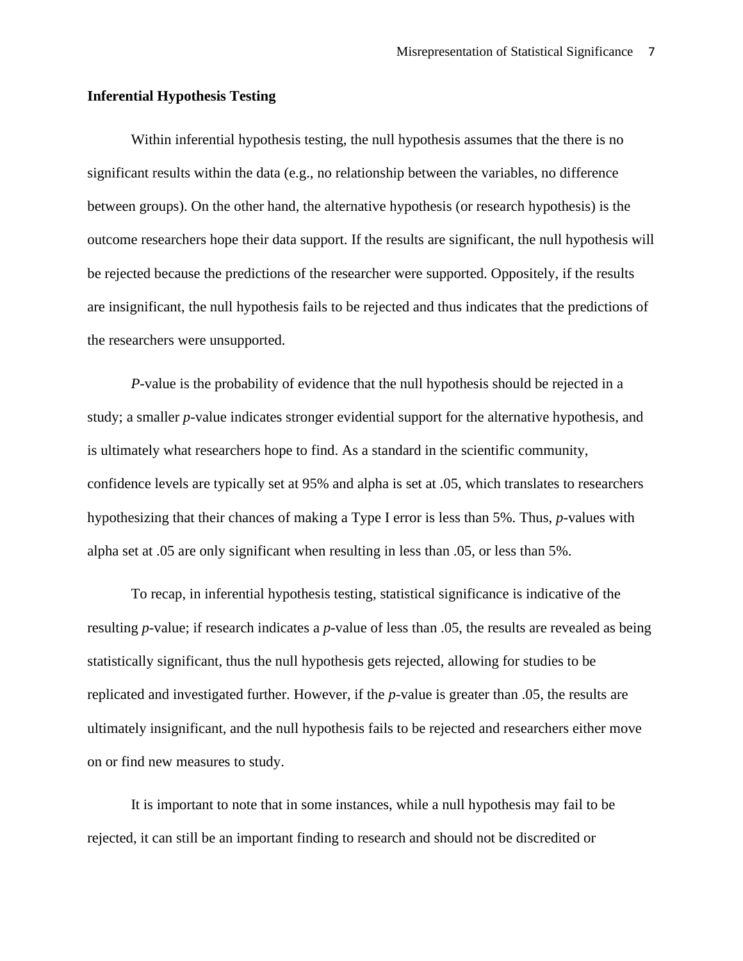### **Inferential Hypothesis Testing**

Within inferential hypothesis testing, the null hypothesis assumes that the there is no significant results within the data (e.g., no relationship between the variables, no difference between groups). On the other hand, the alternative hypothesis (or research hypothesis) is the outcome researchers hope their data support. If the results are significant, the null hypothesis will be rejected because the predictions of the researcher were supported. Oppositely, if the results are insignificant, the null hypothesis fails to be rejected and thus indicates that the predictions of the researchers were unsupported.

*P*-value is the probability of evidence that the null hypothesis should be rejected in a study; a smaller *p*-value indicates stronger evidential support for the alternative hypothesis, and is ultimately what researchers hope to find. As a standard in the scientific community, confidence levels are typically set at 95% and alpha is set at .05, which translates to researchers hypothesizing that their chances of making a Type I error is less than 5%. Thus, *p*-values with alpha set at .05 are only significant when resulting in less than .05, or less than 5%.

To recap, in inferential hypothesis testing, statistical significance is indicative of the resulting *p*-value; if research indicates a *p*-value of less than .05, the results are revealed as being statistically significant, thus the null hypothesis gets rejected, allowing for studies to be replicated and investigated further. However, if the *p*-value is greater than .05, the results are ultimately insignificant, and the null hypothesis fails to be rejected and researchers either move on or find new measures to study.

It is important to note that in some instances, while a null hypothesis may fail to be rejected, it can still be an important finding to research and should not be discredited or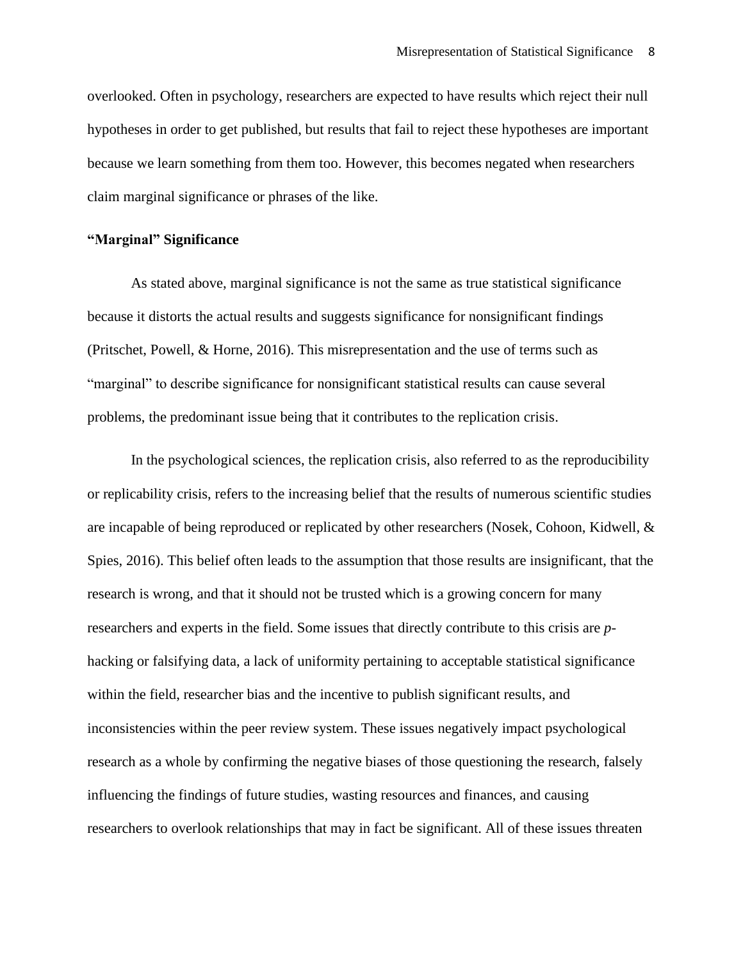overlooked. Often in psychology, researchers are expected to have results which reject their null hypotheses in order to get published, but results that fail to reject these hypotheses are important because we learn something from them too. However, this becomes negated when researchers claim marginal significance or phrases of the like.

# **"Marginal" Significance**

As stated above, marginal significance is not the same as true statistical significance because it distorts the actual results and suggests significance for nonsignificant findings (Pritschet, Powell, & Horne, 2016). This misrepresentation and the use of terms such as "marginal" to describe significance for nonsignificant statistical results can cause several problems, the predominant issue being that it contributes to the replication crisis.

In the psychological sciences, the replication crisis, also referred to as the reproducibility or replicability crisis, refers to the increasing belief that the results of numerous scientific studies are incapable of being reproduced or replicated by other researchers (Nosek, Cohoon, Kidwell, & Spies, 2016). This belief often leads to the assumption that those results are insignificant, that the research is wrong, and that it should not be trusted which is a growing concern for many researchers and experts in the field. Some issues that directly contribute to this crisis are *p*hacking or falsifying data, a lack of uniformity pertaining to acceptable statistical significance within the field, researcher bias and the incentive to publish significant results, and inconsistencies within the peer review system. These issues negatively impact psychological research as a whole by confirming the negative biases of those questioning the research, falsely influencing the findings of future studies, wasting resources and finances, and causing researchers to overlook relationships that may in fact be significant. All of these issues threaten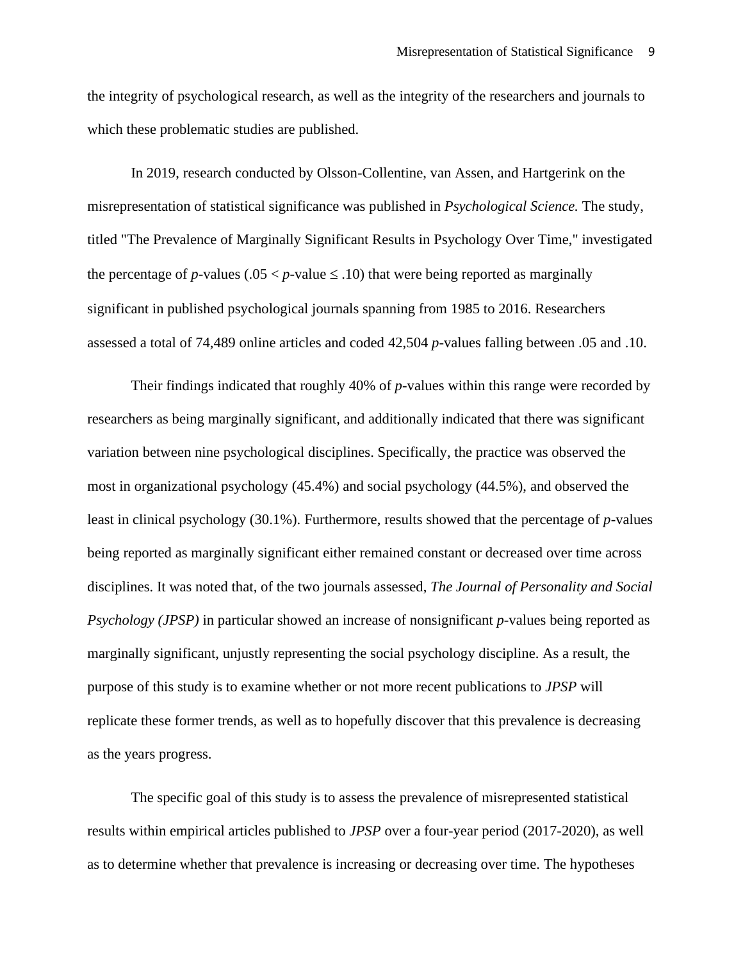the integrity of psychological research, as well as the integrity of the researchers and journals to which these problematic studies are published.

In 2019, research conducted by Olsson-Collentine, van Assen, and Hartgerink on the misrepresentation of statistical significance was published in *Psychological Science.* The study, titled "The Prevalence of Marginally Significant Results in Psychology Over Time," investigated the percentage of *p*-values (.05  $\lt p$ -value  $\leq$  .10) that were being reported as marginally significant in published psychological journals spanning from 1985 to 2016. Researchers assessed a total of 74,489 online articles and coded 42,504 *p*-values falling between .05 and .10.

Their findings indicated that roughly 40% of *p*-values within this range were recorded by researchers as being marginally significant, and additionally indicated that there was significant variation between nine psychological disciplines. Specifically, the practice was observed the most in organizational psychology (45.4%) and social psychology (44.5%), and observed the least in clinical psychology (30.1%). Furthermore, results showed that the percentage of *p*-values being reported as marginally significant either remained constant or decreased over time across disciplines. It was noted that, of the two journals assessed, *The Journal of Personality and Social Psychology (JPSP)* in particular showed an increase of nonsignificant *p*-values being reported as marginally significant, unjustly representing the social psychology discipline. As a result, the purpose of this study is to examine whether or not more recent publications to *JPSP* will replicate these former trends, as well as to hopefully discover that this prevalence is decreasing as the years progress.

The specific goal of this study is to assess the prevalence of misrepresented statistical results within empirical articles published to *JPSP* over a four-year period (2017-2020), as well as to determine whether that prevalence is increasing or decreasing over time. The hypotheses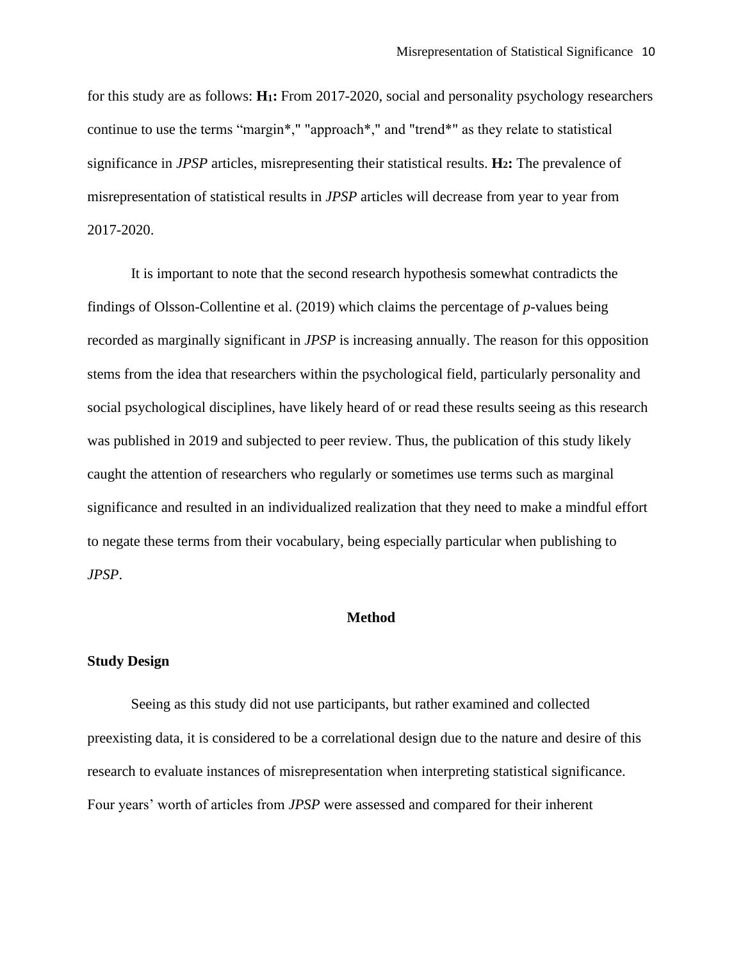for this study are as follows: **H1:** From 2017-2020, social and personality psychology researchers continue to use the terms "margin\*," "approach\*," and "trend\*" as they relate to statistical significance in *JPSP* articles, misrepresenting their statistical results. **H2:** The prevalence of misrepresentation of statistical results in *JPSP* articles will decrease from year to year from 2017-2020.

It is important to note that the second research hypothesis somewhat contradicts the findings of Olsson-Collentine et al. (2019) which claims the percentage of *p*-values being recorded as marginally significant in *JPSP* is increasing annually. The reason for this opposition stems from the idea that researchers within the psychological field, particularly personality and social psychological disciplines, have likely heard of or read these results seeing as this research was published in 2019 and subjected to peer review. Thus, the publication of this study likely caught the attention of researchers who regularly or sometimes use terms such as marginal significance and resulted in an individualized realization that they need to make a mindful effort to negate these terms from their vocabulary, being especially particular when publishing to *JPSP*.

#### **Method**

#### **Study Design**

Seeing as this study did not use participants, but rather examined and collected preexisting data, it is considered to be a correlational design due to the nature and desire of this research to evaluate instances of misrepresentation when interpreting statistical significance. Four years' worth of articles from *JPSP* were assessed and compared for their inherent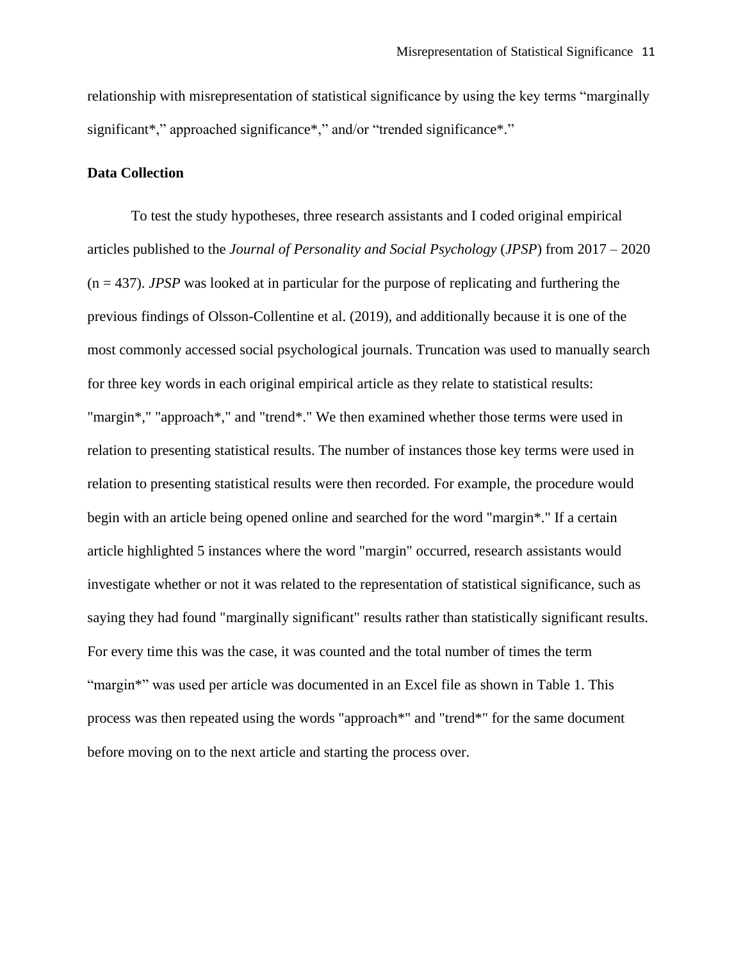relationship with misrepresentation of statistical significance by using the key terms "marginally significant\*," approached significance\*," and/or "trended significance\*."

#### **Data Collection**

To test the study hypotheses, three research assistants and I coded original empirical articles published to the *Journal of Personality and Social Psychology* (*JPSP*) from 2017 – 2020 (n = 437). *JPSP* was looked at in particular for the purpose of replicating and furthering the previous findings of Olsson-Collentine et al. (2019), and additionally because it is one of the most commonly accessed social psychological journals. Truncation was used to manually search for three key words in each original empirical article as they relate to statistical results: "margin\*," "approach\*," and "trend\*." We then examined whether those terms were used in relation to presenting statistical results. The number of instances those key terms were used in relation to presenting statistical results were then recorded. For example, the procedure would begin with an article being opened online and searched for the word "margin\*." If a certain article highlighted 5 instances where the word "margin" occurred, research assistants would investigate whether or not it was related to the representation of statistical significance, such as saying they had found "marginally significant" results rather than statistically significant results. For every time this was the case, it was counted and the total number of times the term "margin<sup>\*</sup>" was used per article was documented in an Excel file as shown in Table 1. This process was then repeated using the words "approach\*" and "trend\*" for the same document before moving on to the next article and starting the process over.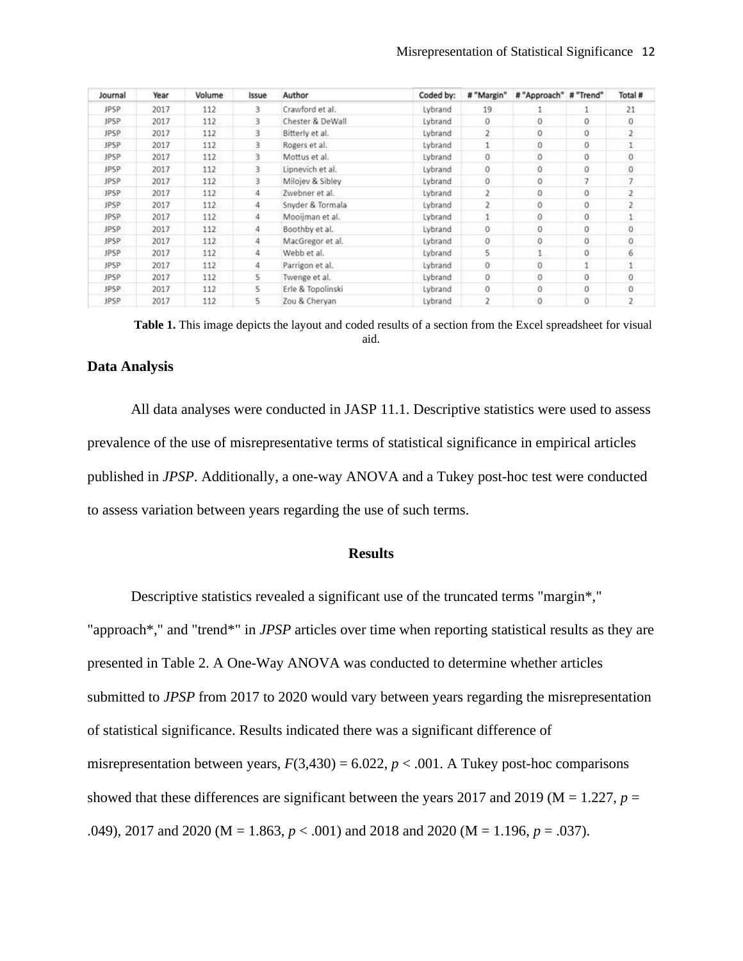| Journal     | Year | Volume | Issue | Author            | Coded by: | # "Margin"     | #"Approach" #"Trend" |              | Total #        |
|-------------|------|--------|-------|-------------------|-----------|----------------|----------------------|--------------|----------------|
| JPSP        | 2017 | 112    | 3     | Crawford et al.   | Lybrand   | 19             |                      | $\mathbf{1}$ | 21             |
| <b>JPSP</b> | 2017 | 112    | 3     | Chester & DeWall  | Lybrand   | $\Omega$       | $\circ$              | $\Omega$     | $\mathbf{0}$   |
| JPSP        | 2017 | 112    | 3     | Bitterly et al.   | Lybrand   |                | $\circ$              | 0            | $\mathbf{z}$   |
| JPSP        | 2017 | 112    |       | Rogers et al.     | Lybrand   |                | Ö.                   | $\theta$     |                |
| JPSP        | 2017 | 112    | 3     | Mottus et al.     | Lybrand   | $\alpha$       | $\mathbf{0}$         | $\circ$      | $\circ$        |
| <b>JPSP</b> | 2017 | 112    |       | Lipnevich et al.  | Lybrand   | $\theta$       | $\mathbf{0}$         | $\mathbf{0}$ | $\mathbf{0}$   |
| JPSP        | 2017 | 112    |       | Milojev & Sibley  | Lybrand   | $\theta$       | $\overline{0}$       | 7            | $\overline{I}$ |
| JPSP        | 2017 | 112    | 4     | Zwebner et al.    | Lybrand   | 2              | $\mathbf{0}$         | $\theta$     | $\overline{z}$ |
| JPSP:       | 2017 | 112    | 4     | Snyder & Tormala  | Lybrand   | $\overline{2}$ | $\theta$             | $\theta$     | $\overline{2}$ |
| JPSP.       | 2017 | 112    | 4     | Mooijman et al.   | Lybrand   |                | $\mathbf{0}$         | $\theta$     |                |
| JPSP        | 2017 | 112    | 4     | Boothby et al.    | Lybrand   | 0              | $\circ$              | $\mathbf 0$  | $\bf{0}$       |
| JPSP        | 2017 | 112    | 4     | MacGregor et al.  | Lybrand   | $\alpha$       | $\overline{0}$       | $\mathbf{0}$ | $\mathbf 0$    |
| JPSP        | 2017 | 112    | 4     | Webb et al.       | Lybrand   | 5              | $\mathbf{1}$         | 0            | 6              |
| JPSP        | 2017 | 112    | 4     | Parrigon et al.   | Lybrand   | $\theta$       | $\mathbf{0}$         | 1.           |                |
| JPSP        | 2017 | 112    | 5     | Twenge et al.     | Lybrand   | $\theta$       | $\mathbf{0}$         | $\circ$      | $\circ$        |
| JPSP        | 2017 | 112    | 5     | Erle & Topolinski | Lybrand   | $\theta$       | $\theta$             | $\theta$     | 0              |
| JPSP        | 2017 | 112    | 5     | Zou & Cheryan     | Lybrand   | $\overline{2}$ | 0                    | 0            | $\mathbf{2}$   |

**Table 1.** This image depicts the layout and coded results of a section from the Excel spreadsheet for visual aid.

# **Data Analysis**

All data analyses were conducted in JASP 11.1. Descriptive statistics were used to assess prevalence of the use of misrepresentative terms of statistical significance in empirical articles published in *JPSP*. Additionally, a one-way ANOVA and a Tukey post-hoc test were conducted to assess variation between years regarding the use of such terms.

#### **Results**

Descriptive statistics revealed a significant use of the truncated terms "margin\*," "approach\*," and "trend\*" in *JPSP* articles over time when reporting statistical results as they are presented in Table 2. A One-Way ANOVA was conducted to determine whether articles submitted to *JPSP* from 2017 to 2020 would vary between years regarding the misrepresentation of statistical significance. Results indicated there was a significant difference of misrepresentation between years,  $F(3,430) = 6.022$ ,  $p < .001$ . A Tukey post-hoc comparisons showed that these differences are significant between the years 2017 and 2019 ( $M = 1.227$ ,  $p =$ .049), 2017 and 2020 (M = 1.863, *p* < .001) and 2018 and 2020 (M = 1.196, *p* = .037).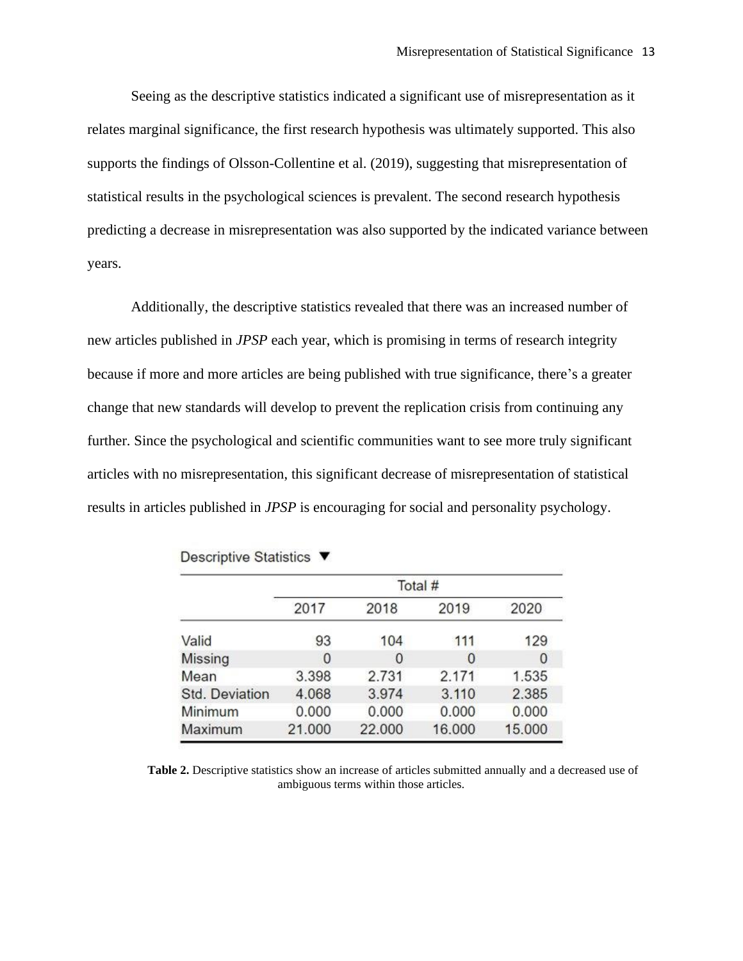Seeing as the descriptive statistics indicated a significant use of misrepresentation as it relates marginal significance, the first research hypothesis was ultimately supported. This also supports the findings of Olsson-Collentine et al. (2019), suggesting that misrepresentation of statistical results in the psychological sciences is prevalent. The second research hypothesis predicting a decrease in misrepresentation was also supported by the indicated variance between years.

Additionally, the descriptive statistics revealed that there was an increased number of new articles published in *JPSP* each year, which is promising in terms of research integrity because if more and more articles are being published with true significance, there's a greater change that new standards will develop to prevent the replication crisis from continuing any further. Since the psychological and scientific communities want to see more truly significant articles with no misrepresentation, this significant decrease of misrepresentation of statistical results in articles published in *JPSP* is encouraging for social and personality psychology.

|                | Total # |        |        |        |  |  |  |
|----------------|---------|--------|--------|--------|--|--|--|
|                | 2017    | 2018   | 2019   | 2020   |  |  |  |
| Valid          | 93      | 104    | 111    | 129    |  |  |  |
| <b>Missing</b> | 0       | 0      | 0      | 0      |  |  |  |
| Mean           | 3.398   | 2.731  | 2.171  | 1.535  |  |  |  |
| Std. Deviation | 4.068   | 3.974  | 3.110  | 2.385  |  |  |  |
| Minimum        | 0.000   | 0.000  | 0.000  | 0.000  |  |  |  |
| Maximum        | 21.000  | 22.000 | 16.000 | 15.000 |  |  |  |
|                |         |        |        |        |  |  |  |

Descriptive Statistics ▼

**Table 2.** Descriptive statistics show an increase of articles submitted annually and a decreased use of ambiguous terms within those articles.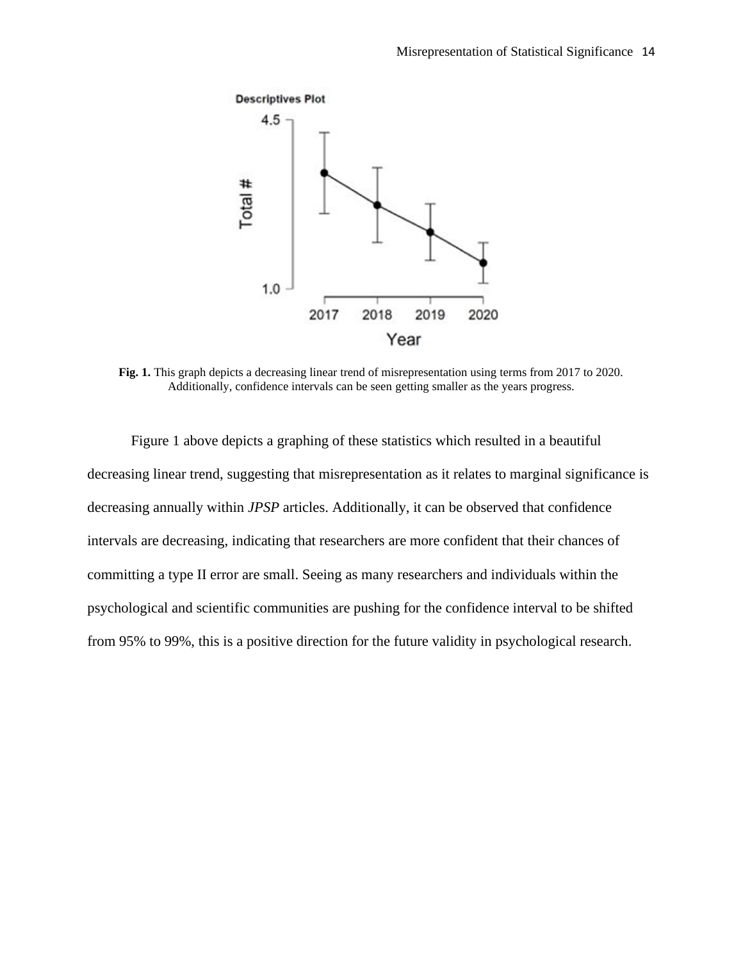

**Fig. 1.** This graph depicts a decreasing linear trend of misrepresentation using terms from 2017 to 2020. Additionally, confidence intervals can be seen getting smaller as the years progress.

Figure 1 above depicts a graphing of these statistics which resulted in a beautiful decreasing linear trend, suggesting that misrepresentation as it relates to marginal significance is decreasing annually within *JPSP* articles. Additionally, it can be observed that confidence intervals are decreasing, indicating that researchers are more confident that their chances of committing a type II error are small. Seeing as many researchers and individuals within the psychological and scientific communities are pushing for the confidence interval to be shifted from 95% to 99%, this is a positive direction for the future validity in psychological research.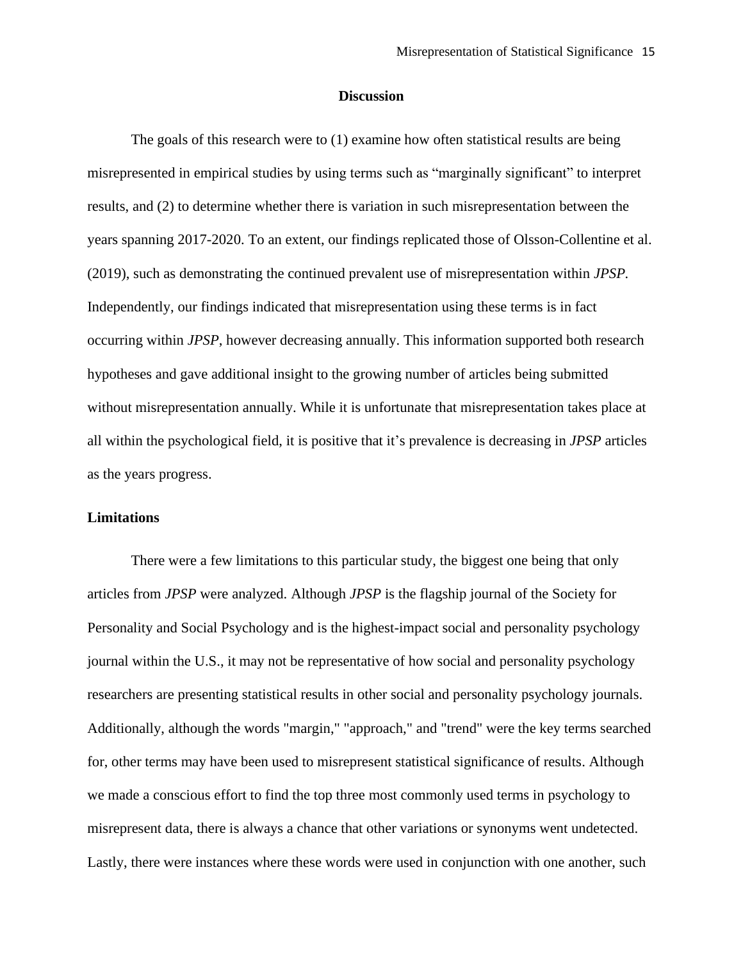#### **Discussion**

The goals of this research were to (1) examine how often statistical results are being misrepresented in empirical studies by using terms such as "marginally significant" to interpret results, and (2) to determine whether there is variation in such misrepresentation between the years spanning 2017-2020. To an extent, our findings replicated those of Olsson-Collentine et al. (2019), such as demonstrating the continued prevalent use of misrepresentation within *JPSP.* Independently, our findings indicated that misrepresentation using these terms is in fact occurring within *JPSP*, however decreasing annually. This information supported both research hypotheses and gave additional insight to the growing number of articles being submitted without misrepresentation annually. While it is unfortunate that misrepresentation takes place at all within the psychological field, it is positive that it's prevalence is decreasing in *JPSP* articles as the years progress.

#### **Limitations**

There were a few limitations to this particular study, the biggest one being that only articles from *JPSP* were analyzed. Although *JPSP* is the flagship journal of the Society for Personality and Social Psychology and is the highest-impact social and personality psychology journal within the U.S., it may not be representative of how social and personality psychology researchers are presenting statistical results in other social and personality psychology journals. Additionally, although the words "margin," "approach," and "trend" were the key terms searched for, other terms may have been used to misrepresent statistical significance of results. Although we made a conscious effort to find the top three most commonly used terms in psychology to misrepresent data, there is always a chance that other variations or synonyms went undetected. Lastly, there were instances where these words were used in conjunction with one another, such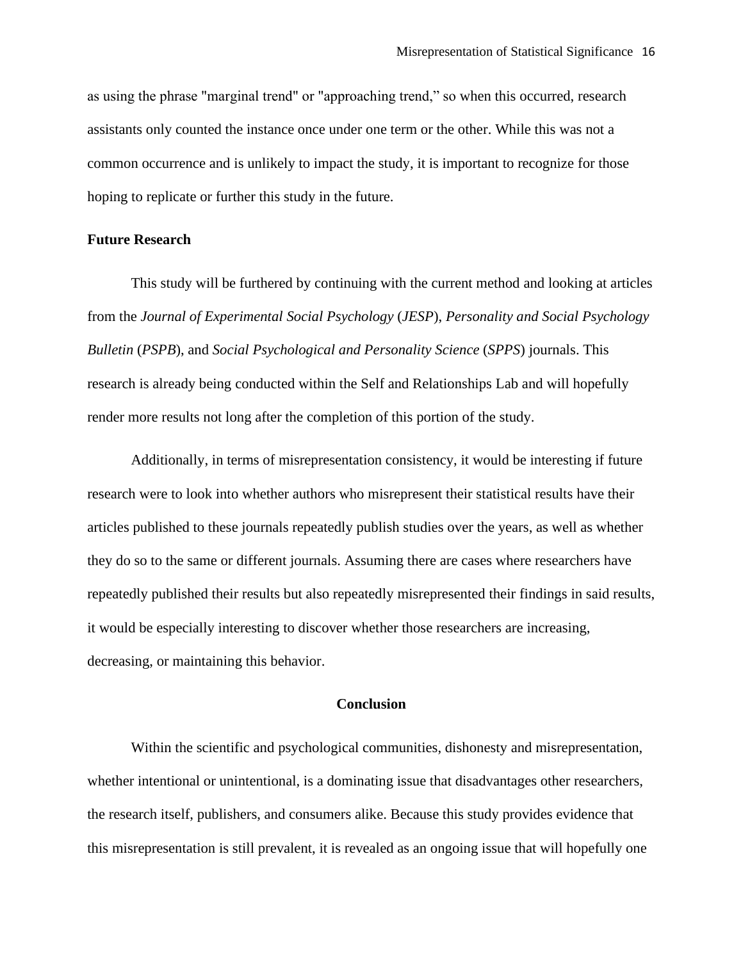as using the phrase "marginal trend" or "approaching trend," so when this occurred, research assistants only counted the instance once under one term or the other. While this was not a common occurrence and is unlikely to impact the study, it is important to recognize for those hoping to replicate or further this study in the future.

# **Future Research**

This study will be furthered by continuing with the current method and looking at articles from the *Journal of Experimental Social Psychology* (*JESP*), *Personality and Social Psychology Bulletin* (*PSPB*), and *Social Psychological and Personality Science* (*SPPS*) journals. This research is already being conducted within the Self and Relationships Lab and will hopefully render more results not long after the completion of this portion of the study.

Additionally, in terms of misrepresentation consistency, it would be interesting if future research were to look into whether authors who misrepresent their statistical results have their articles published to these journals repeatedly publish studies over the years, as well as whether they do so to the same or different journals. Assuming there are cases where researchers have repeatedly published their results but also repeatedly misrepresented their findings in said results, it would be especially interesting to discover whether those researchers are increasing, decreasing, or maintaining this behavior.

#### **Conclusion**

Within the scientific and psychological communities, dishonesty and misrepresentation, whether intentional or unintentional, is a dominating issue that disadvantages other researchers, the research itself, publishers, and consumers alike. Because this study provides evidence that this misrepresentation is still prevalent, it is revealed as an ongoing issue that will hopefully one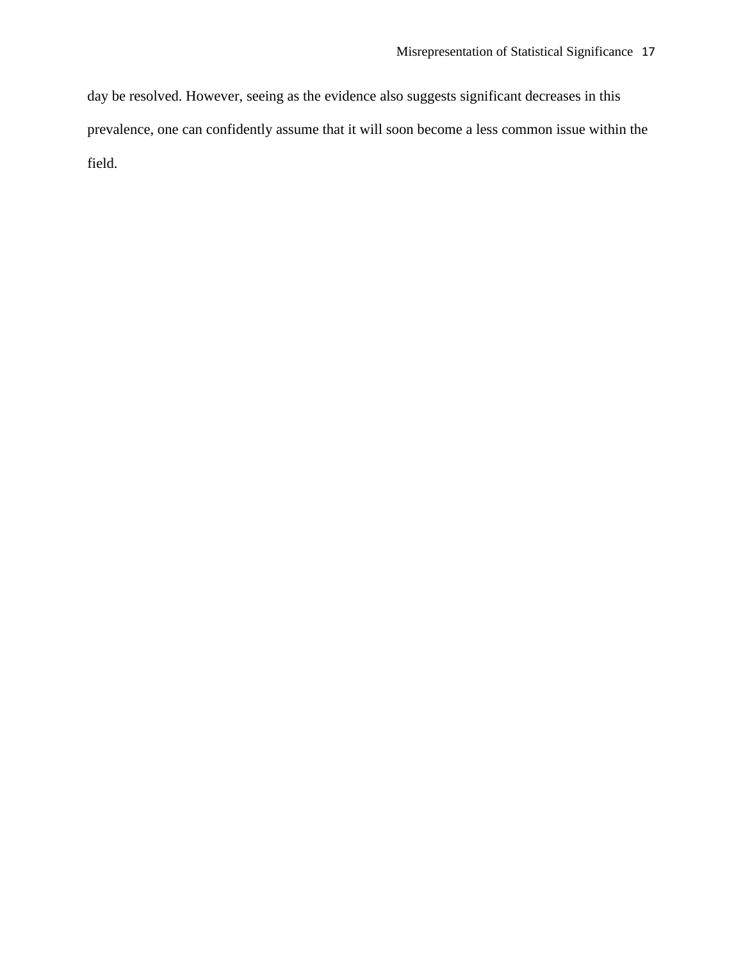day be resolved. However, seeing as the evidence also suggests significant decreases in this prevalence, one can confidently assume that it will soon become a less common issue within the field.